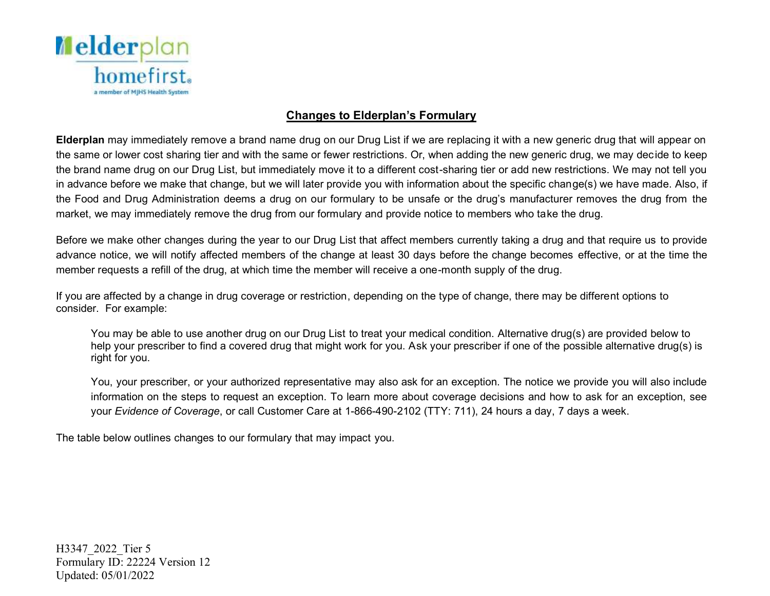

## **Changes to Elderplan's Formulary**

 **Elderplan** may immediately remove a brand name drug on our Drug List if we are replacing it with a new generic drug that will appear on the same or lower cost sharing tier and with the same or fewer restrictions. Or, when adding the new generic drug, we may decide to keep the brand name drug on our Drug List, but immediately move it to a different cost-sharing tier or add new restrictions. We may not tell you in advance before we make that change, but we will later provide you with information about the specific change(s) we have made. Also, if the Food and Drug Administration deems a drug on our formulary to be unsafe or the drug's manufacturer removes the drug from the market, we may immediately remove the drug from our formulary and provide notice to members who take the drug.

 Before we make other changes during the year to our Drug List that affect members currently taking a drug and that require us to provide advance notice, we will notify affected members of the change at least 30 days before the change becomes effective, or at the time the member requests a refill of the drug, at which time the member will receive a one-month supply of the drug.

 If you are affected by a change in drug coverage or restriction, depending on the type of change, there may be different options to consider. For example:

 You may be able to use another drug on our Drug List to treat your medical condition. Alternative drug(s) are provided below to help your prescriber to find a covered drug that might work for you. Ask your prescriber if one of the possible alternative drug(s) is right for you.

 You, your prescriber, or your authorized representative may also ask for an exception. The notice we provide you will also include information on the steps to request an exception. To learn more about coverage decisions and how to ask for an exception, see  your *Evidence of Coverage*, or call Customer Care at 1-866-490-2102 (TTY: 711), 24 hours a day, 7 days a week.

The table below outlines changes to our formulary that may impact you.

 H3347\_2022\_Tier 5 Updated: 05/01/2022 Formulary ID: 22224 Version 12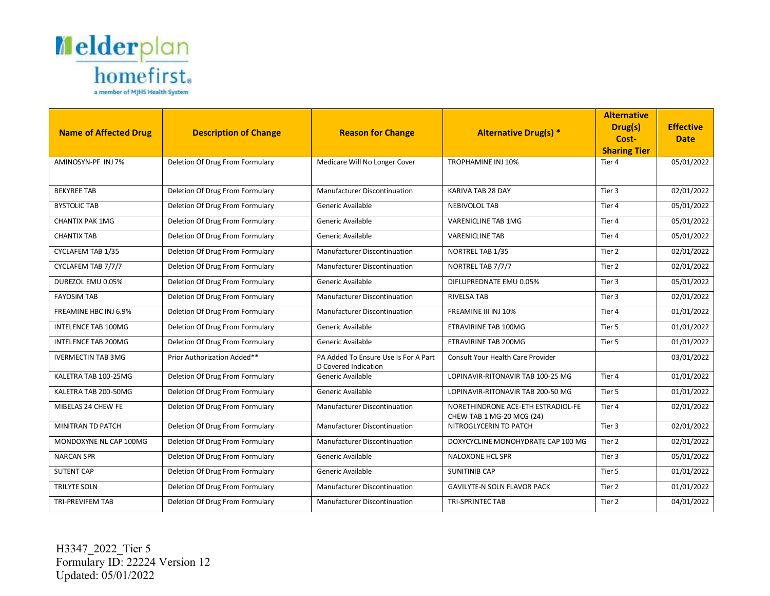

|                              |                                 |                                                              |                                                                 | <b>Alternative</b>           |                  |
|------------------------------|---------------------------------|--------------------------------------------------------------|-----------------------------------------------------------------|------------------------------|------------------|
| <b>Name of Affected Drug</b> | <b>Description of Change</b>    | <b>Reason for Change</b>                                     | <b>Alternative Drug(s) *</b>                                    | Drug(s)                      | <b>Effective</b> |
|                              |                                 |                                                              |                                                                 | Cost-<br><b>Sharing Tier</b> | <b>Date</b>      |
| AMINOSYN-PF INJ7%            | Deletion Of Drug From Formulary | Medicare Will No Longer Cover                                | TROPHAMINE INJ 10%                                              | Tier 4                       | 05/01/2022       |
|                              |                                 |                                                              |                                                                 |                              |                  |
| <b>BEKYREE TAB</b>           | Deletion Of Drug From Formulary | <b>Manufacturer Discontinuation</b>                          | KARIVA TAB 28 DAY                                               | Tier 3                       | 02/01/2022       |
| <b>BYSTOLIC TAB</b>          | Deletion Of Drug From Formulary | Generic Available                                            | <b>NEBIVOLOL TAB</b>                                            | Tier 4                       | 05/01/2022       |
| <b>CHANTIX PAK 1MG</b>       | Deletion Of Drug From Formulary | Generic Available                                            | VARENICLINE TAB 1MG                                             | Tier 4                       | 05/01/2022       |
| <b>CHANTIX TAB</b>           | Deletion Of Drug From Formulary | Generic Available                                            | <b>VARENICLINE TAB</b>                                          | Tier 4                       | 05/01/2022       |
| CYCLAFEM TAB 1/35            | Deletion Of Drug From Formulary | Manufacturer Discontinuation                                 | NORTREL TAB 1/35                                                | Tier 2                       | 02/01/2022       |
| CYCLAFEM TAB 7/7/7           | Deletion Of Drug From Formulary | Manufacturer Discontinuation                                 | NORTREL TAB 7/7/7                                               | Tier 2                       | 02/01/2022       |
| DUREZOL EMU 0.05%            | Deletion Of Drug From Formulary | Generic Available                                            | DIFLUPREDNATE EMU 0.05%                                         | Tier 3                       | 05/01/2022       |
| <b>FAYOSIM TAB</b>           | Deletion Of Drug From Formulary | <b>Manufacturer Discontinuation</b>                          | <b>RIVELSA TAB</b>                                              | Tier 3                       | 02/01/2022       |
| FREAMINE HBC INJ 6.9%        | Deletion Of Drug From Formulary | <b>Manufacturer Discontinuation</b>                          | FREAMINE III INJ 10%                                            | Tier 4                       | 01/01/2022       |
| <b>INTELENCE TAB 100MG</b>   | Deletion Of Drug From Formulary | Generic Available                                            | ETRAVIRINE TAB 100MG                                            | Tier 5                       | 01/01/2022       |
| <b>INTELENCE TAB 200MG</b>   | Deletion Of Drug From Formulary | Generic Available                                            | ETRAVIRINE TAB 200MG                                            | Tier 5                       | 01/01/2022       |
| <b>IVERMECTIN TAB 3MG</b>    | Prior Authorization Added**     | PA Added To Ensure Use Is For A Part<br>D Covered Indication | Consult Your Health Care Provider                               |                              | 03/01/2022       |
| KALETRA TAB 100-25MG         | Deletion Of Drug From Formulary | Generic Available                                            | LOPINAVIR-RITONAVIR TAB 100-25 MG                               | Tier 4                       | 01/01/2022       |
| KALETRA TAB 200-50MG         | Deletion Of Drug From Formulary | Generic Available                                            | LOPINAVIR-RITONAVIR TAB 200-50 MG                               | Tier 5                       | 01/01/2022       |
| MIBELAS 24 CHEW FE           | Deletion Of Drug From Formulary | <b>Manufacturer Discontinuation</b>                          | NORETHINDRONE ACE-ETH ESTRADIOL-FE<br>CHEW TAB 1 MG-20 MCG (24) | Tier 4                       | 02/01/2022       |
| MINITRAN TD PATCH            | Deletion Of Drug From Formulary | Manufacturer Discontinuation                                 | NITROGLYCERIN TD PATCH                                          | Tier 3                       | 02/01/2022       |
| MONDOXYNE NL CAP 100MG       | Deletion Of Drug From Formulary | <b>Manufacturer Discontinuation</b>                          | DOXYCYCLINE MONOHYDRATE CAP 100 MG                              | Tier 2                       | 02/01/2022       |
| <b>NARCAN SPR</b>            | Deletion Of Drug From Formulary | Generic Available                                            | <b>NALOXONE HCL SPR</b>                                         | Tier 3                       | 05/01/2022       |
| <b>SUTENT CAP</b>            | Deletion Of Drug From Formulary | Generic Available                                            | <b>SUNITINIB CAP</b>                                            | Tier 5                       | 01/01/2022       |
| TRILYTE SOLN                 | Deletion Of Drug From Formulary | Manufacturer Discontinuation                                 | <b>GAVILYTE-N SOLN FLAVOR PACK</b>                              | Tier 2                       | 01/01/2022       |
| <b>TRI-PREVIFEM TAB</b>      | Deletion Of Drug From Formulary | <b>Manufacturer Discontinuation</b>                          | <b>TRI-SPRINTEC TAB</b>                                         | Tier 2                       | 04/01/2022       |

H3347\_2022\_Tier 5 Formulary ID: 22224 Version 12 Updated: 05/01/2022